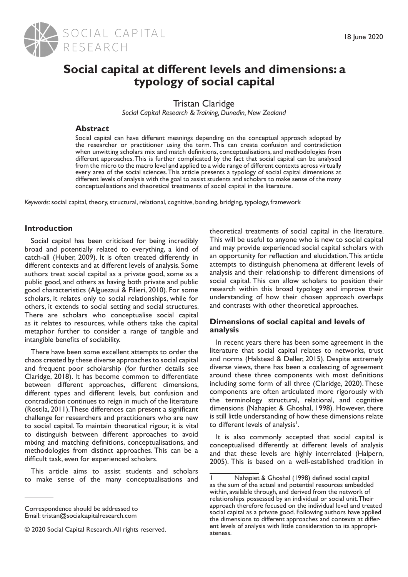

# **Social capital at different levels and dimensions: a typology of social capital**

Tristan Claridge

*Social Capital Research & Training, Dunedin, New Zealand*

## **Abstract**

Social capital can have different meanings depending on the conceptual approach adopted by the researcher or practitioner using the term. This can create confusion and contradiction when unwitting scholars mix and match definitions, conceptualisations, and methodologies from different approaches. This is further complicated by the fact that social capital can be analysed from the micro to the macro level and applied to a wide range of different contexts across virtually every area of the social sciences. This article presents a typology of social capital dimensions at different levels of analysis with the goal to assist students and scholars to make sense of the many conceptualisations and theoretical treatments of social capital in the literature.

*Keywords*: social capital, theory, structural, relational, cognitive, bonding, bridging, typology, framework

# **Introduction**

Social capital has been criticised for being incredibly broad and potentially related to everything, a kind of catch-all (Huber, 2009). It is often treated differently in different contexts and at different levels of analysis. Some authors treat social capital as a private good, some as a public good, and others as having both private and public good characteristics (Alguezaui & Filieri, 2010). For some scholars, it relates only to social relationships, while for others, it extends to social setting and social structures. There are scholars who conceptualise social capital as it relates to resources, while others take the capital metaphor further to consider a range of tangible and intangible benefits of sociability.

There have been some excellent attempts to order the chaos created by these diverse approaches to social capital and frequent poor scholarship (for further details see Claridge, 2018). It has become common to differentiate between different approaches, different dimensions, different types and different levels, but confusion and contradiction continues to reign in much of the literature (Rostila, 2011). These differences can present a significant challenge for researchers and practitioners who are new to social capital. To maintain theoretical rigour, it is vital to distinguish between different approaches to avoid mixing and matching definitions, conceptualisations, and methodologies from distinct approaches. This can be a difficult task, even for experienced scholars.

This article aims to assist students and scholars to make sense of the many conceptualisations and theoretical treatments of social capital in the literature. This will be useful to anyone who is new to social capital and may provide experienced social capital scholars with an opportunity for reflection and elucidation. This article attempts to distinguish phenomena at different levels of analysis and their relationship to different dimensions of social capital. This can allow scholars to position their research within this broad typology and improve their understanding of how their chosen approach overlaps and contrasts with other theoretical approaches.

#### **Dimensions of social capital and levels of analysis**

In recent years there has been some agreement in the literature that social capital relates to networks, trust and norms (Halstead & Deller, 2015). Despite extremely diverse views, there has been a coalescing of agreement around these three components with most definitions including some form of all three (Claridge, 2020). These components are often articulated more rigorously with the terminology structural, relational, and cognitive dimensions (Nahapiet & Ghoshal, 1998). However, there is still little understanding of how these dimensions relate to different levels of analysis<sup>1</sup>.

It is also commonly accepted that social capital is conceptualised differently at different levels of analysis and that these levels are highly interrelated (Halpern, 2005). This is based on a well-established tradition in

Correspondence should be addressed to Email: tristan@socialcapitalresearch.com

<sup>© 2020</sup> Social Capital Research. All rights reserved.

Nahapiet & Ghoshal (1998) defined social capital as the sum of the actual and potential resources embedded within, available through, and derived from the network of relationships possessed by an individual or social unit. Their approach therefore focused on the individual level and treated social capital as a private good. Following authors have applied the dimensions to different approaches and contexts at different levels of analysis with little consideration to its appropriateness.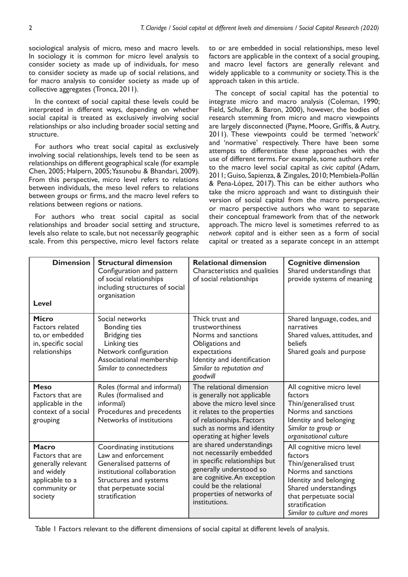sociological analysis of micro, meso and macro levels. In sociology it is common for micro level analysis to consider society as made up of individuals, for meso to consider society as made up of social relations, and for macro analysis to consider society as made up of collective aggregates (Tronca, 2011).

In the context of social capital these levels could be interpreted in different ways, depending on whether social capital is treated as exclusively involving social relationships or also including broader social setting and structure.

For authors who treat social capital as exclusively involving social relationships, levels tend to be seen as relationships on different geographical scale (for example Chen, 2005; Halpern, 2005; Yasunobu & Bhandari, 2009). From this perspective, micro level refers to relations between individuals, the meso level refers to relations between groups or firms, and the macro level refers to relations between regions or nations.

For authors who treat social capital as social relationships and broader social setting and structure, levels also relate to scale, but not necessarily geographic scale. From this perspective, micro level factors relate

to or are embedded in social relationships, meso level factors are applicable in the context of a social grouping, and macro level factors are generally relevant and widely applicable to a community or society. This is the approach taken in this article.

The concept of social capital has the potential to integrate micro and macro analysis (Coleman, 1990; Field, Schuller, & Baron, 2000), however, the bodies of research stemming from micro and macro viewpoints are largely disconnected (Payne, Moore, Griffis, & Autry, 2011). These viewpoints could be termed 'network' and 'normative' respectively. There have been some attempts to differentiate these approaches with the use of different terms. For example, some authors refer to the macro level social capital as *civic capital* (Adam, 2011; Guiso, Sapienza, & Zingales, 2010; Membiela-Pollán & Pena-López, 2017). This can be either authors who take the micro approach and want to distinguish their version of social capital from the macro perspective, or macro perspective authors who want to separate their conceptual framework from that of the network approach. The micro level is sometimes referred to as *network capital* and is either seen as a form of social capital or treated as a separate concept in an attempt

| <b>Dimension</b><br><b>Level</b>                                                                            | <b>Structural dimension</b><br>Configuration and pattern<br>of social relationships<br>including structures of social<br>organisation                                            | <b>Relational dimension</b><br>Characteristics and qualities<br>of social relationships                                                                                                                                                                                                                                                                                                                                                      | <b>Cognitive dimension</b><br>Shared understandings that<br>provide systems of meaning                                                                                                                               |
|-------------------------------------------------------------------------------------------------------------|----------------------------------------------------------------------------------------------------------------------------------------------------------------------------------|----------------------------------------------------------------------------------------------------------------------------------------------------------------------------------------------------------------------------------------------------------------------------------------------------------------------------------------------------------------------------------------------------------------------------------------------|----------------------------------------------------------------------------------------------------------------------------------------------------------------------------------------------------------------------|
| <b>Micro</b><br><b>Factors related</b><br>to, or embedded<br>in, specific social<br>relationships           | Social networks<br><b>Bonding ties</b><br><b>Bridging ties</b><br>Linking ties<br>Network configuration<br>Associational membership<br>Similar to connectedness                  | Thick trust and<br>trustworthiness<br>Norms and sanctions<br>Obligations and<br>expectations<br>Identity and identification<br>Similar to reputation and<br>goodwill                                                                                                                                                                                                                                                                         | Shared language, codes, and<br>narratives<br>Shared values, attitudes, and<br><b>beliefs</b><br>Shared goals and purpose                                                                                             |
| <b>Meso</b><br>Factors that are<br>applicable in the<br>context of a social<br>grouping                     | Roles (formal and informal)<br>Rules (formalised and<br>informal)<br>Procedures and precedents<br>Networks of institutions                                                       | The relational dimension<br>is generally not applicable<br>above the micro level since<br>it relates to the properties<br>of relationships. Factors<br>such as norms and identity<br>operating at higher levels<br>are shared understandings<br>not necessarily embedded<br>in specific relationships but<br>generally understood so<br>are cognitive. An exception<br>could be the relational<br>properties of networks of<br>institutions. | All cognitive micro level<br>factors<br>Thin/generalised trust<br>Norms and sanctions<br>Identity and belonging<br>Similar to group or<br>organisational culture                                                     |
| Macro<br>Factors that are<br>generally relevant<br>and widely<br>applicable to a<br>community or<br>society | Coordinating institutions<br>Law and enforcement<br>Generalised patterns of<br>institutional collaboration<br>Structures and systems<br>that perpetuate social<br>stratification |                                                                                                                                                                                                                                                                                                                                                                                                                                              | All cognitive micro level<br>factors<br>Thin/generalised trust<br>Norms and sanctions<br>Identity and belonging<br>Shared understandings<br>that perpetuate social<br>stratification<br>Similar to culture and mores |

Table 1 Factors relevant to the different dimensions of social capital at different levels of analysis.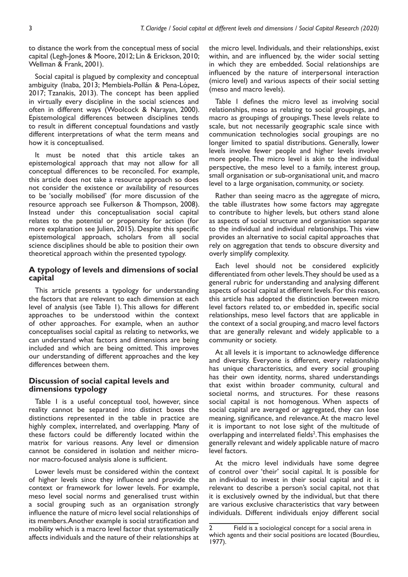to distance the work from the conceptual mess of social capital (Legh-Jones & Moore, 2012; Lin & Erickson, 2010; Wellman & Frank, 2001).

Social capital is plagued by complexity and conceptual ambiguity (Inaba, 2013; Membiela-Pollán & Pena-López, 2017; Tzanakis, 2013). The concept has been applied in virtually every discipline in the social sciences and often in different ways (Woolcock & Narayan, 2000). Epistemological differences between disciplines tends to result in different conceptual foundations and vastly different interpretations of what the term means and how it is conceptualised.

It must be noted that this article takes an epistemological approach that may not allow for all conceptual differences to be reconciled. For example, this article does not take a resource approach so does not consider the existence or availability of resources to be 'socially mobilised' (for more discussion of the resource approach see Fulkerson & Thompson, 2008). Instead under this conceptualisation social capital relates to the potential or propensity for action (for more explanation see Julien, 2015). Despite this specific epistemological approach, scholars from all social science disciplines should be able to position their own theoretical approach within the presented typology.

## **A typology of levels and dimensions of social capital**

This article presents a typology for understanding the factors that are relevant to each dimension at each level of analysis (see Table 1). This allows for different approaches to be understood within the context of other approaches. For example, when an author conceptualises social capital as relating to networks, we can understand what factors and dimensions are being included and which are being omitted. This improves our understanding of different approaches and the key differences between them.

## **Discussion of social capital levels and dimensions typology**

Table 1 is a useful conceptual tool, however, since reality cannot be separated into distinct boxes the distinctions represented in the table in practice are highly complex, interrelated, and overlapping. Many of these factors could be differently located within the matrix for various reasons. Any level or dimension cannot be considered in isolation and neither micronor macro-focused analysis alone is sufficient.

Lower levels must be considered within the context of higher levels since they influence and provide the context or framework for lower levels. For example, meso level social norms and generalised trust within a social grouping such as an organisation strongly influence the nature of micro level social relationships of its members. Another example is social stratification and mobility which is a macro level factor that systematically affects individuals and the nature of their relationships at

the micro level. Individuals, and their relationships, exist within, and are influenced by, the wider social setting in which they are embedded. Social relationships are influenced by the nature of interpersonal interaction (micro level) and various aspects of their social setting (meso and macro levels).

Table 1 defines the micro level as involving social relationships, meso as relating to social groupings, and macro as groupings of groupings. These levels relate to scale, but not necessarily geographic scale since with communication technologies social groupings are no longer limited to spatial distributions. Generally, lower levels involve fewer people and higher levels involve more people. The micro level is akin to the individual perspective, the meso level to a family, interest group, small organisation or sub-organisational unit, and macro level to a large organisation, community, or society.

Rather than seeing macro as the aggregate of micro, the table illustrates how some factors may aggregate to contribute to higher levels, but others stand alone as aspects of social structure and organisation separate to the individual and individual relationships. This view provides an alternative to social capital approaches that rely on aggregation that tends to obscure diversity and overly simplify complexity.

Each level should not be considered explicitly differentiated from other levels. They should be used as a general rubric for understanding and analysing different aspects of social capital at different levels. For this reason, this article has adopted the distinction between micro level factors related to, or embedded in, specific social relationships, meso level factors that are applicable in the context of a social grouping, and macro level factors that are generally relevant and widely applicable to a community or society.

At all levels it is important to acknowledge difference and diversity. Everyone is different, every relationship has unique characteristics, and every social grouping has their own identity, norms, shared understandings that exist within broader community, cultural and societal norms, and structures. For these reasons social capital is not homogenous. When aspects of social capital are averaged or aggregated, they can lose meaning, significance, and relevance. At the macro level it is important to not lose sight of the multitude of overlapping and interrelated fields<sup>2</sup>. This emphasises the generally relevant and widely applicable nature of macro level factors.

At the micro level individuals have some degree of control over 'their' social capital. It is possible for an individual to invest in their social capital and it is relevant to describe a person's social capital, not that it is exclusively owned by the individual, but that there are various exclusive characteristics that vary between individuals. Different individuals enjoy different social

<sup>2</sup> Field is a sociological concept for a social arena in which agents and their social positions are located (Bourdieu, 1977).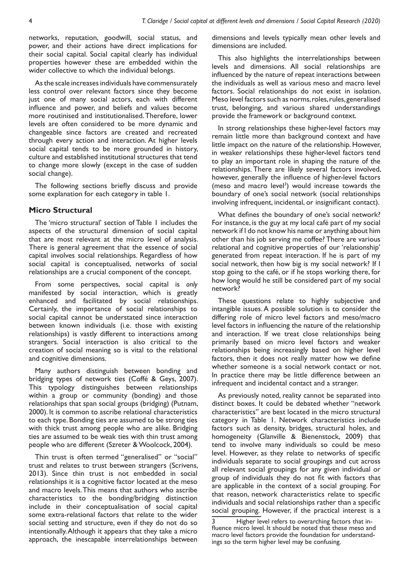networks, reputation, goodwill, social status, and power, and their actions have direct implications for their social capital. Social capital clearly has individual properties however these are embedded within the wider collective to which the individual belongs.

As the scale increases individuals have commensurately less control over relevant factors since they become just one of many social actors, each with different influence and power, and beliefs and values become more routinised and institutionalised. Therefore, lower levels are often considered to be more dynamic and changeable since factors are created and recreated through every action and interaction. At higher levels social capital tends to be more grounded in history, culture and established institutional structures that tend to change more slowly (except in the case of sudden social change).

The following sections briefly discuss and provide some explanation for each category in table 1.

#### **Micro Structural**

The 'micro structural' section of Table 1 includes the aspects of the structural dimension of social capital that are most relevant at the micro level of analysis. There is general agreement that the essence of social capital involves social relationships. Regardless of how social capital is conceptualised, networks of social relationships are a crucial component of the concept.

From some perspectives, social capital is *only* manifested by social interaction, which is greatly enhanced and facilitated by social relationships. Certainly, the importance of social relationships to social capital cannot be understated since interaction between known individuals (i.e. those with existing relationships) is vastly different to interactions among strangers. Social interaction is also critical to the creation of social meaning so is vital to the relational and cognitive dimensions.

Many authors distinguish between bonding and bridging types of network ties (Coffé & Geys, 2007). This typology distinguishes between relationships within a group or community (bonding) and those relationships that span social groups (bridging) (Putnam, 2000). It is common to ascribe relational characteristics to each type. Bonding ties are assumed to be strong ties with thick trust among people who are alike. Bridging ties are assumed to be weak ties with thin trust among people who are different (Szreter & Woolcock, 2004).

Thin trust is often termed "generalised" or "social" trust and relates to trust between strangers (Scrivens, 2013). Since thin trust is not embedded in social relationships it is a cognitive factor located at the meso and macro levels. This means that authors who ascribe characteristics to the bonding/bridging distinction include in their conceptualisation of social capital some extra-relational factors that relate to the wider social setting and structure, even if they do not do so intentionally. Although it appears that they take a micro approach, the inescapable interrelationships between dimensions and levels typically mean other levels and dimensions are included.

This also highlights the interrelationships between levels and dimensions. All social relationships are influenced by the nature of repeat interactions between the individuals as well as various meso and macro level factors. Social relationships do not exist in isolation. Meso level factors such as norms, roles, rules, generalised trust, belonging, and various shared understandings provide the framework or background context.

In strong relationships these higher-level factors may remain little more than background context and have little impact on the nature of the relationship. However, in weaker relationships these higher-level factors tend to play an important role in shaping the nature of the relationships. There are likely several factors involved, however, generally the influence of higher-level factors (meso and macro level<sup>3</sup>) would increase towards the boundary of one's social network (social relationships involving infrequent, incidental, or insignificant contact).

What defines the boundary of one's social network? For instance, is the guy at my local café part of my social network if I do not know his name or anything about him other than his job serving me coffee? There are various relational and cognitive properties of our 'relationship' generated from repeat interaction. If he is part of my social network, then how big is my social network? If I stop going to the café, or if he stops working there, for how long would he still be considered part of my social network?

These questions relate to highly subjective and intangible issues. A possible solution is to consider the differing role of micro level factors and meso/macro level factors in influencing the nature of the relationship and interaction. If we treat close relationships being primarily based on micro level factors and weaker relationships being increasingly based on higher level factors, then it does not really matter how we define whether someone is a social network contact or not. In practice there may be little difference between an infrequent and incidental contact and a stranger.

As previously noted, reality cannot be separated into distinct boxes. It could be debated whether "network characteristics" are best located in the micro structural category in Table 1. Network characteristics include factors such as density, bridges, structural holes, and homogeneity (Glanville & Bienenstock, 2009) that tend to involve many individuals so could be meso level. However, as they relate to networks of specific individuals separate to social groupings and cut across all relevant social groupings for any given individual or group of individuals they do not fit with factors that are applicable in the context of a social grouping. For that reason, network characteristics relate to specific individuals and social relationships rather than a specific social grouping. However, if the practical interest is a

Higher level refers to overarching factors that influence micro level. It should be noted that these meso and macro level factors provide the foundation for understandings so the term higher level may be confusing.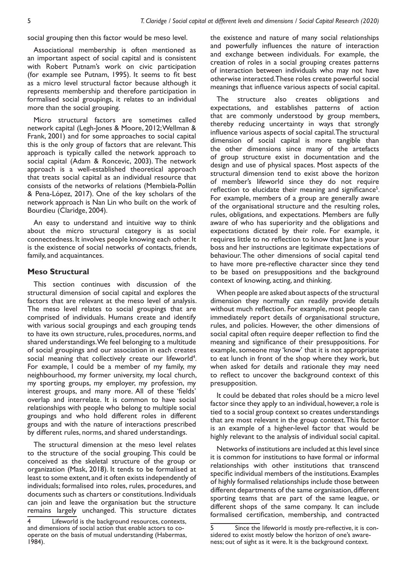social grouping then this factor would be meso level.

Associational membership is often mentioned as an important aspect of social capital and is consistent with Robert Putnam's work on civic participation (for example see Putnam, 1995). It seems to fit best as a micro level structural factor because although it represents membership and therefore participation in formalised social groupings, it relates to an individual more than the social grouping.

Micro structural factors are sometimes called network capital (Legh-Jones & Moore, 2012; Wellman & Frank, 2001) and for some approaches to social capital this is the only group of factors that are relevant. This approach is typically called the network approach to social capital (Adam & Roncevic, 2003). The network approach is a well-established theoretical approach that treats social capital as an individual resource that consists of the networks of relations (Membiela-Pollán & Pena-López, 2017). One of the key scholars of the network approach is Nan Lin who built on the work of Bourdieu (Claridge, 2004).

An easy to understand and intuitive way to think about the micro structural category is as social connectedness. It involves people knowing each other. It is the existence of social networks of contacts, friends, family, and acquaintances.

#### **Meso Structural**

This section continues with discussion of the structural dimension of social capital and explores the factors that are relevant at the meso level of analysis. The meso level relates to social groupings that are comprised of individuals. Humans create and identify with various social groupings and each grouping tends to have its own structure, rules, procedures, norms, and shared understandings. We feel belonging to a multitude of social groupings and our association in each creates social meaning that collectively create our lifeworld<sup>4</sup>. For example, I could be a member of my family, my neighbourhood, my former university, my local church, my sporting groups, my employer, my profession, my interest groups, and many more. All of these 'fields' overlap and interrelate. It is common to have social relationships with people who belong to multiple social groupings and who hold different roles in different groups and with the nature of interactions prescribed by different rules, norms, and shared understandings.

The structural dimension at the meso level relates to the structure of the social grouping. This could be conceived as the skeletal structure of the group or organization (Mask, 2018). It tends to be formalised at least to some extent, and it often exists independently of individuals; formalised into roles, rules, procedures, and documents such as charters or constitutions. Individuals can join and leave the organisation but the structure remains largely unchanged. This structure dictates

the existence and nature of many social relationships and powerfully influences the nature of interaction and exchange between individuals. For example, the creation of roles in a social grouping creates patterns of interaction between individuals who may not have otherwise interacted. These roles create powerful social meanings that influence various aspects of social capital.

The structure also creates obligations and expectations, and establishes patterns of action that are commonly understood by group members, thereby reducing uncertainty in ways that strongly influence various aspects of social capital. The structural dimension of social capital is more tangible than the other dimensions since many of the artefacts of group structure exist in documentation and the design and use of physical spaces. Most aspects of the structural dimension tend to exist above the horizon of member's lifeworld since they do not require reflection to elucidate their meaning and significance<sup>5</sup>. For example, members of a group are generally aware of the organisational structure and the resulting roles, rules, obligations, and expectations. Members are fully aware of who has superiority and the obligations and expectations dictated by their role. For example, it requires little to no reflection to know that Jane is your boss and her instructions are legitimate expectations of behaviour. The other dimensions of social capital tend to have more pre-reflective character since they tend to be based on presuppositions and the background context of knowing, acting, and thinking.

When people are asked about aspects of the structural dimension they normally can readily provide details without much reflection. For example, most people can immediately report details of organisational structure, rules, and policies. However, the other dimensions of social capital often require deeper reflection to find the meaning and significance of their presuppositions. For example, someone may 'know' that it is not appropriate to eat lunch in front of the shop where they work, but when asked for details and rationale they may need to reflect to uncover the background context of this presupposition.

It could be debated that roles should be a micro level factor since they apply to an individual, however, a role is tied to a social group context so creates understandings that are most relevant in the group context. This factor is an example of a higher-level factor that would be highly relevant to the analysis of individual social capital.

Networks of institutions are included at this level since it is common for institutions to have formal or informal relationships with other institutions that transcend specific individual members of the institutions. Examples of highly formalised relationships include those between different departments of the same organisation, different sporting teams that are part of the same league, or different shops of the same company. It can include formalised certification, membership, and contracted

<sup>4</sup> Lifeworld is the background resources, contexts, and dimensions of social action that enable actors to cooperate on the basis of mutual understanding (Habermas, 1984).

<sup>5</sup> Since the lifeworld is mostly pre-reflective, it is considered to exist mostly below the horizon of one's awareness; out of sight as it were. It is the background context.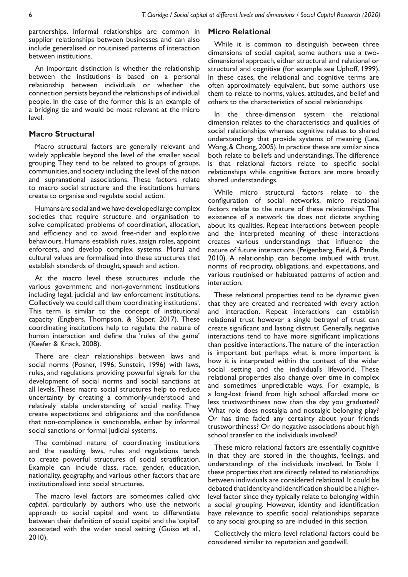partnerships. Informal relationships are common in supplier relationships between businesses and can also include generalised or routinised patterns of interaction between institutions.

An important distinction is whether the relationship between the institutions is based on a personal relationship between individuals or whether the connection persists beyond the relationships of individual people. In the case of the former this is an example of a bridging tie and would be most relevant at the micro level.

#### **Macro Structural**

Macro structural factors are generally relevant and widely applicable beyond the level of the smaller social grouping. They tend to be related to groups of groups, communities, and society including the level of the nation and supranational associations. These factors relate to macro social structure and the institutions humans create to organise and regulate social action.

Humans are social and we have developed large complex societies that require structure and organisation to solve complicated problems of coordination, allocation, and efficiency and to avoid free-rider and exploitive behaviours. Humans establish rules, assign roles, appoint enforcers, and develop complex systems. Moral and cultural values are formalised into these structures that establish standards of thought, speech and action.

At the macro level these structures include the various government and non-government institutions including legal, judicial and law enforcement institutions. Collectively we could call them 'coordinating institutions'. This term is similar to the concept of institutional capacity (Engbers, Thompson, & Slaper, 2017). These coordinating institutions help to regulate the nature of human interaction and define the 'rules of the game' (Keefer & Knack, 2008).

There are clear relationships between laws and social norms (Posner, 1996; Sunstein, 1996) with laws, rules, and regulations providing powerful signals for the development of social norms and social sanctions at all levels. These macro social structures help to reduce uncertainty by creating a commonly-understood and relatively stable understanding of social reality. They create expectations and obligations and the confidence that non-compliance is sanctionable, either by informal social sanctions or formal judicial systems.

The combined nature of coordinating institutions and the resulting laws, rules and regulations tends to create powerful structures of social stratification. Example can include class, race, gender, education, nationality, geography, and various other factors that are institutionalised into social structures.

The macro level factors are sometimes called *civic capital*, particularly by authors who use the network approach to social capital and want to differentiate between their definition of social capital and the 'capital' associated with the wider social setting (Guiso et al., 2010).

## **Micro Relational**

While it is common to distinguish between three dimensions of social capital, some authors use a twodimensional approach, either structural and relational or structural and cognitive (for example see Uphoff, 1999). In these cases, the relational and cognitive terms are often approximately equivalent, but some authors use them to relate to norms, values, attitudes, and belief and others to the characteristics of social relationships.

In the three-dimension system the relational dimension relates to the characteristics and qualities of social relationships whereas cognitive relates to shared understandings that provide systems of meaning (Lee, Wong, & Chong, 2005). In practice these are similar since both relate to beliefs and understandings. The difference is that relational factors relate to specific social relationships while cognitive factors are more broadly shared understandings.

While micro structural factors relate to the configuration of social networks, micro relational factors relate to the nature of these relationships. The existence of a network tie does not dictate anything about its qualities. Repeat interactions between people and the interpreted meaning of these interactions creates various understandings that influence the nature of future interactions (Feigenberg, Field, & Pande, 2010). A relationship can become imbued with trust, norms of reciprocity, obligations, and expectations, and various routinised or habituated patterns of action and interaction.

These relational properties tend to be dynamic given that they are created and recreated with every action and interaction. Repeat interactions can establish relational trust however a single betrayal of trust can create significant and lasting distrust. Generally, negative interactions tend to have more significant implications than positive interactions. The nature of the interaction is important but perhaps what is more important is how it is interpreted within the context of the wider social setting and the individual's lifeworld. These relational properties also change over time in complex and sometimes unpredictable ways. For example, is a long-lost friend from high school afforded more or less trustworthiness now than the day you graduated? What role does nostalgia and nostalgic belonging play? Or has time faded any certainty about your friends trustworthiness? Or do negative associations about high school transfer to the individuals involved?

These micro relational factors are essentially cognitive in that they are stored in the thoughts, feelings, and understandings of the individuals involved. In Table 1 these properties that are directly related to relationships between individuals are considered relational. It could be debated that identity and identification should be a higherlevel factor since they typically relate to belonging within a social grouping. However, identity and identification have relevance to specific social relationships separate to any social grouping so are included in this section.

Collectively the micro level relational factors could be considered similar to reputation and goodwill.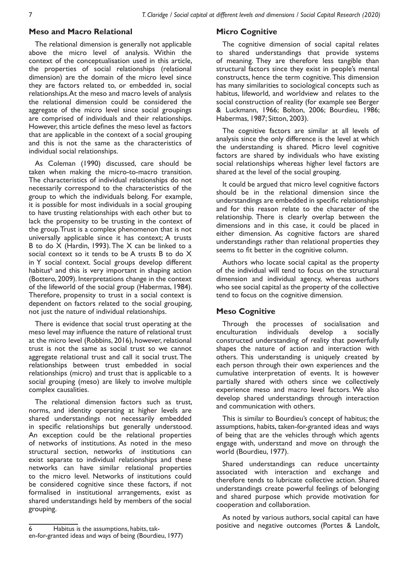## **Meso and Macro Relational**

The relational dimension is generally not applicable above the micro level of analysis. Within the context of the conceptualisation used in this article, the properties of social relationships (relational dimension) are the domain of the micro level since they are factors related to, or embedded in, social relationships. At the meso and macro levels of analysis the relational dimension could be considered the aggregate of the micro level since social groupings are comprised of individuals and their relationships. However, this article defines the meso level as factors that are applicable in the context of a social grouping and this is not the same as the characteristics of individual social relationships.

As Coleman (1990) discussed, care should be taken when making the micro-to-macro transition. The characteristics of individual relationships do not necessarily correspond to the characteristics of the group to which the individuals belong. For example, it is possible for most individuals in a social grouping to have trusting relationships with each other but to lack the propensity to be trusting in the context of the group. Trust is a complex phenomenon that is not universally applicable since it has context; A trusts B to do  $\overline{X}$  (Hardin, 1993). The  $X$  can be linked to a social context so it tends to be A trusts B to do X in Y social context. Social groups develop different habitus<sup>6</sup> and this is very important in shaping action (Bottero, 2009). Interpretations change in the context of the lifeworld of the social group (Habermas, 1984). Therefore, propensity to trust in a social context is dependent on factors related to the social grouping, not just the nature of individual relationships.

There is evidence that social trust operating at the meso level may influence the nature of relational trust at the micro level (Robbins, 2016), however, relational trust is not the same as social trust so we cannot aggregate relational trust and call it social trust. The relationships between trust embedded in social relationships (micro) and trust that is applicable to a social grouping (meso) are likely to involve multiple complex causalities.

The relational dimension factors such as trust, norms, and identity operating at higher levels are shared understandings not necessarily embedded in specific relationships but generally understood. An exception could be the relational properties of networks of institutions. As noted in the meso structural section, networks of institutions can exist separate to individual relationships and these networks can have similar relational properties to the micro level. Networks of institutions could be considered cognitive since these factors, if not formalised in institutional arrangements, exist as shared understandings held by members of the social grouping.

## **Micro Cognitive**

The cognitive dimension of social capital relates to shared understandings that provide systems of meaning. They are therefore less tangible than structural factors since they exist in people's mental constructs, hence the term cognitive. This dimension has many similarities to sociological concepts such as habitus, lifeworld, and worldview and relates to the social construction of reality (for example see Berger & Luckmann, 1966; Bolton, 2006; Bourdieu, 1986; Habermas, 1987; Sitton, 2003).

The cognitive factors are similar at all levels of analysis since the only difference is the level at which the understanding is shared. Micro level cognitive factors are shared by individuals who have existing social relationships whereas higher level factors are shared at the level of the social grouping.

It could be argued that micro level cognitive factors should be in the relational dimension since the understandings are embedded in specific relationships and for this reason relate to the character of the relationship. There is clearly overlap between the dimensions and in this case, it could be placed in either dimension. As cognitive factors are shared understandings rather than relational properties they seems to fit better in the cognitive column.

Authors who locate social capital as the property of the individual will tend to focus on the structural dimension and individual agency, whereas authors who see social capital as the property of the collective tend to focus on the cognitive dimension.

## **Meso Cognitive**

Through the processes of socialisation and<br>
nculturation individuals develop a socially enculturation individuals develop a socially constructed understanding of reality that powerfully shapes the nature of action and interaction with others. This understanding is uniquely created by each person through their own experiences and the cumulative interpretation of events. It is however partially shared with others since we collectively experience meso and macro level factors. We also develop shared understandings through interaction and communication with others.

This is similar to Bourdieu's concept of habitus; the assumptions, habits, taken-for-granted ideas and ways of being that are the vehicles through which agents engage with, understand and move on through the world (Bourdieu, 1977).

Shared understandings can reduce uncertainty associated with interaction and exchange and therefore tends to lubricate collective action. Shared understandings create powerful feelings of belonging and shared purpose which provide motivation for cooperation and collaboration.

As noted by various authors, social capital can have positive and negative outcomes (Portes & Landolt,

<sup>6</sup> Habitus is the assumptions, habits, taken-for-granted ideas and ways of being (Bourdieu, 1977)